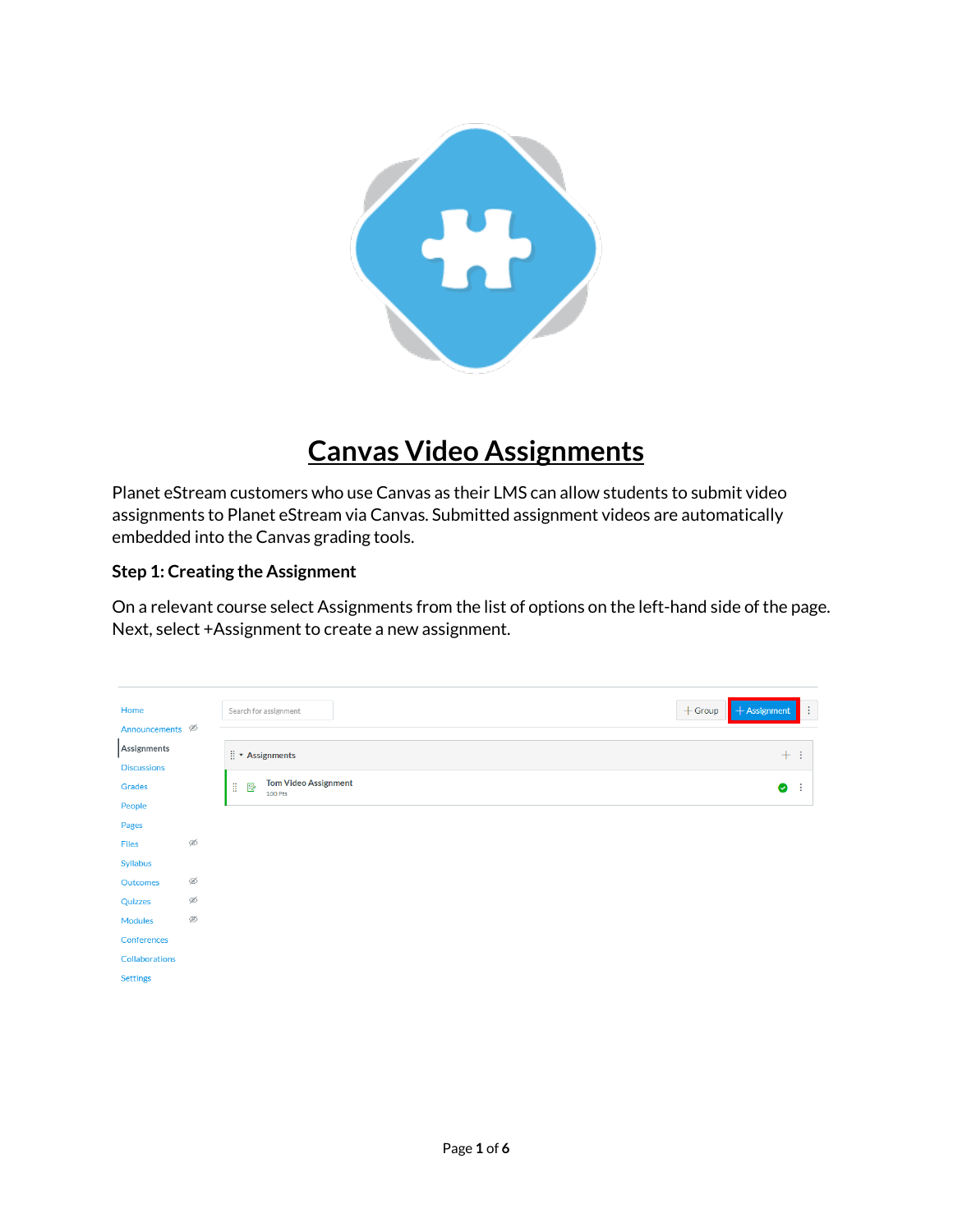

## **Canvas Video Assignments**

Planet eStream customers who use Canvas as their LMS can allow students to submit video assignments to Planet eStream via Canvas. Submitted assignment videos are automatically embedded into the Canvas grading tools.

## **Step 1: Creating the Assignment**

On a relevant course select Assignments from the list of options on the left-hand side of the page. Next, select +Assignment to create a new assignment.

| Home                        |   | Search for assignment                            | $+$ Group | $+$ Assignment | ÷ |
|-----------------------------|---|--------------------------------------------------|-----------|----------------|---|
| Announcements $\mathcal{D}$ |   |                                                  |           |                |   |
| Assignments                 |   | $\vdots$ * Assignments                           |           | $+$ :          |   |
| <b>Discussions</b>          |   |                                                  |           |                |   |
| Grades                      |   | <b>Tom Video Assignment</b><br>H<br>₽<br>100 Pts |           | ◉              | ÷ |
| People                      |   |                                                  |           |                |   |
| Pages                       |   |                                                  |           |                |   |
| Files                       | Ø |                                                  |           |                |   |
| <b>Syllabus</b>             |   |                                                  |           |                |   |
| Outcomes                    | Ø |                                                  |           |                |   |
| Quizzes                     | Ø |                                                  |           |                |   |
| <b>Modules</b>              | Ø |                                                  |           |                |   |
| Conferences                 |   |                                                  |           |                |   |
| <b>Collaborations</b>       |   |                                                  |           |                |   |
| <b>Settings</b>             |   |                                                  |           |                |   |
|                             |   |                                                  |           |                |   |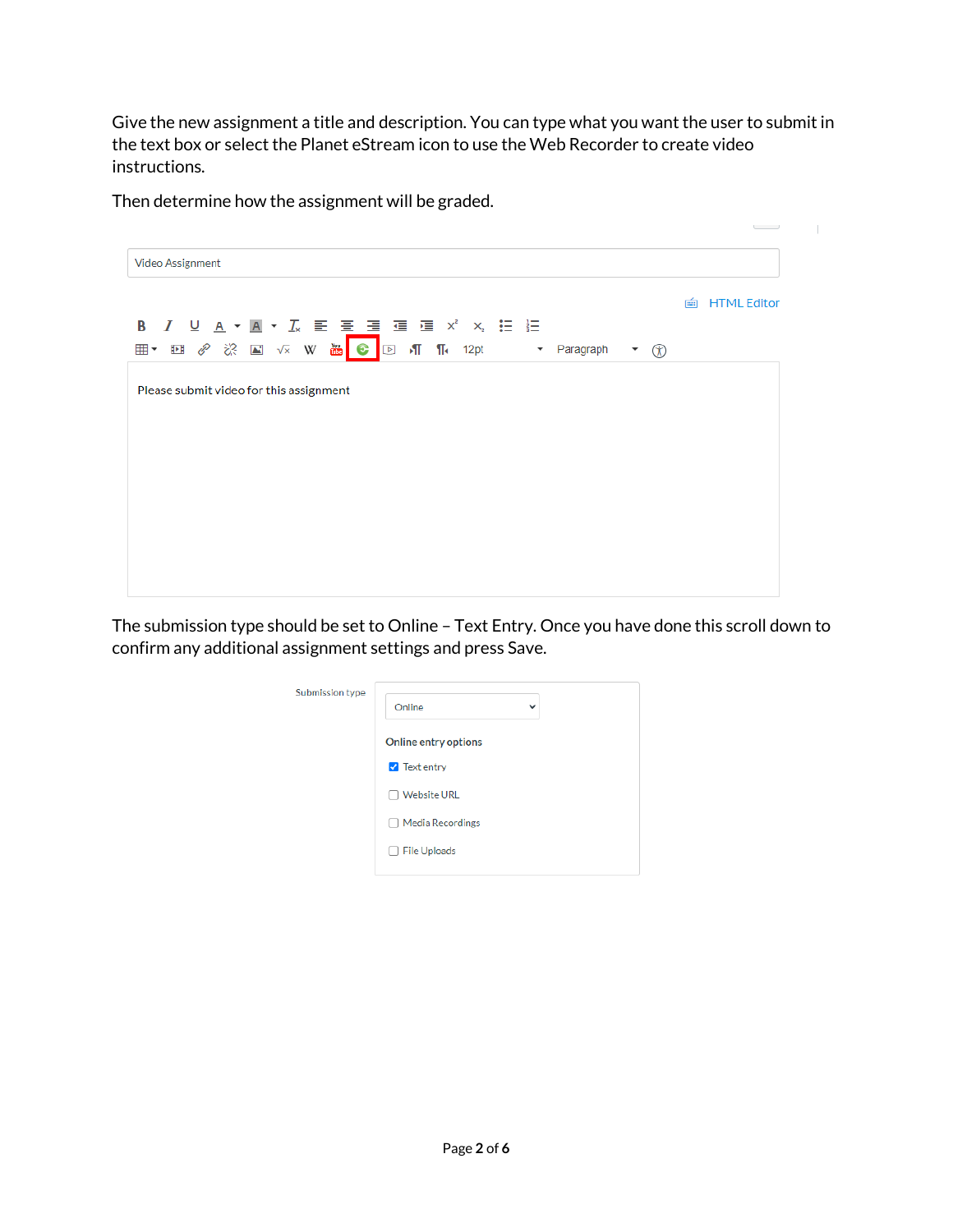Give the new assignment a title and description. You can type what you want the user to submit in the text box or select the Planet eStream icon to use the Web Recorder to create video instructions.

 $\sim$  100  $\mu$ 

Then determine how the assignment will be graded.

|                                                                               | $\overline{\phantom{a}}$ |
|-------------------------------------------------------------------------------|--------------------------|
| Video Assignment                                                              |                          |
|                                                                               | <b>HTML Editor</b><br>画  |
| <b>B</b> <i>I</i> <u>U</u> <b>A · A ·</b> <i>I</i> , <i>E E E E E E E E E</i> |                          |
| $^{\circledR}$<br>$\overline{\phantom{a}}$                                    |                          |
| Please submit video for this assignment                                       |                          |
|                                                                               |                          |
|                                                                               |                          |
|                                                                               |                          |
|                                                                               |                          |
|                                                                               |                          |
|                                                                               |                          |
|                                                                               |                          |

The submission type should be set to Online – Text Entry. Once you have done this scroll down to confirm any additional assignment settings and press Save.

| Submission type | Online<br>$\checkmark$ |
|-----------------|------------------------|
|                 | Online entry options   |
|                 | <b>7</b> Text entry    |
|                 | <b>Website URL</b>     |
|                 | □ Media Recordings     |
|                 | $\Box$ File Uploads    |
|                 |                        |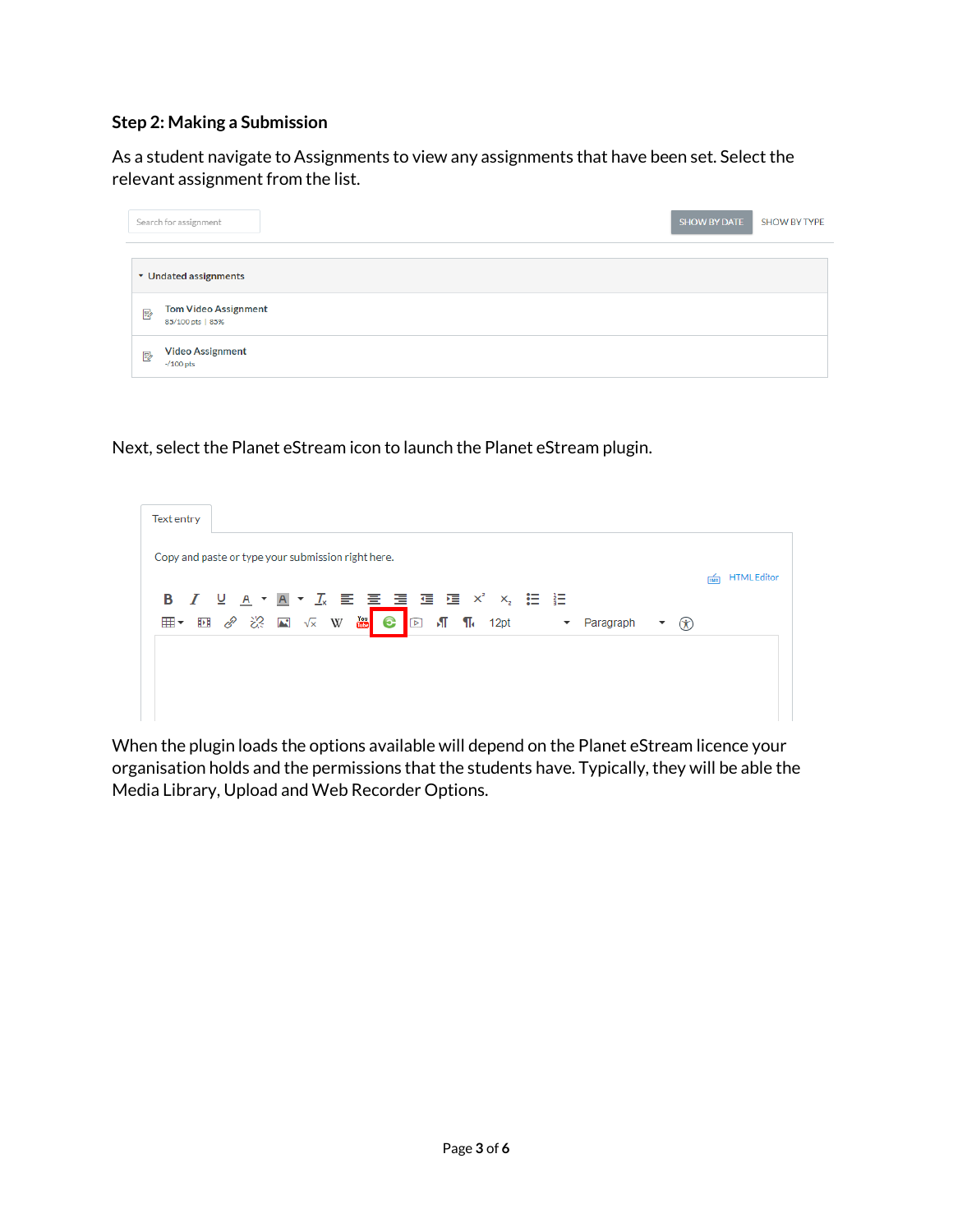## **Step 2: Making a Submission**

As a student navigate to Assignments to view any assignments that have been set. Select the relevant assignment from the list.

|                | Search for assignment                           | <b>SHOW BY DATE</b> | <b>SHOW BY TYPE</b> |
|----------------|-------------------------------------------------|---------------------|---------------------|
|                | ▼ Undated assignments                           |                     |                     |
| <b>B</b>       | <b>Tom Video Assignment</b><br>85/100 pts   85% |                     |                     |
| F <sub>2</sub> | <b>Video Assignment</b><br>$-100$ pts           |                     |                     |

Next, select the Planet eStream icon to launch the Planet eStream plugin.



When the plugin loads the options available will depend on the Planet eStream licence your organisation holds and the permissions that the students have. Typically, they will be able the Media Library, Upload and Web Recorder Options.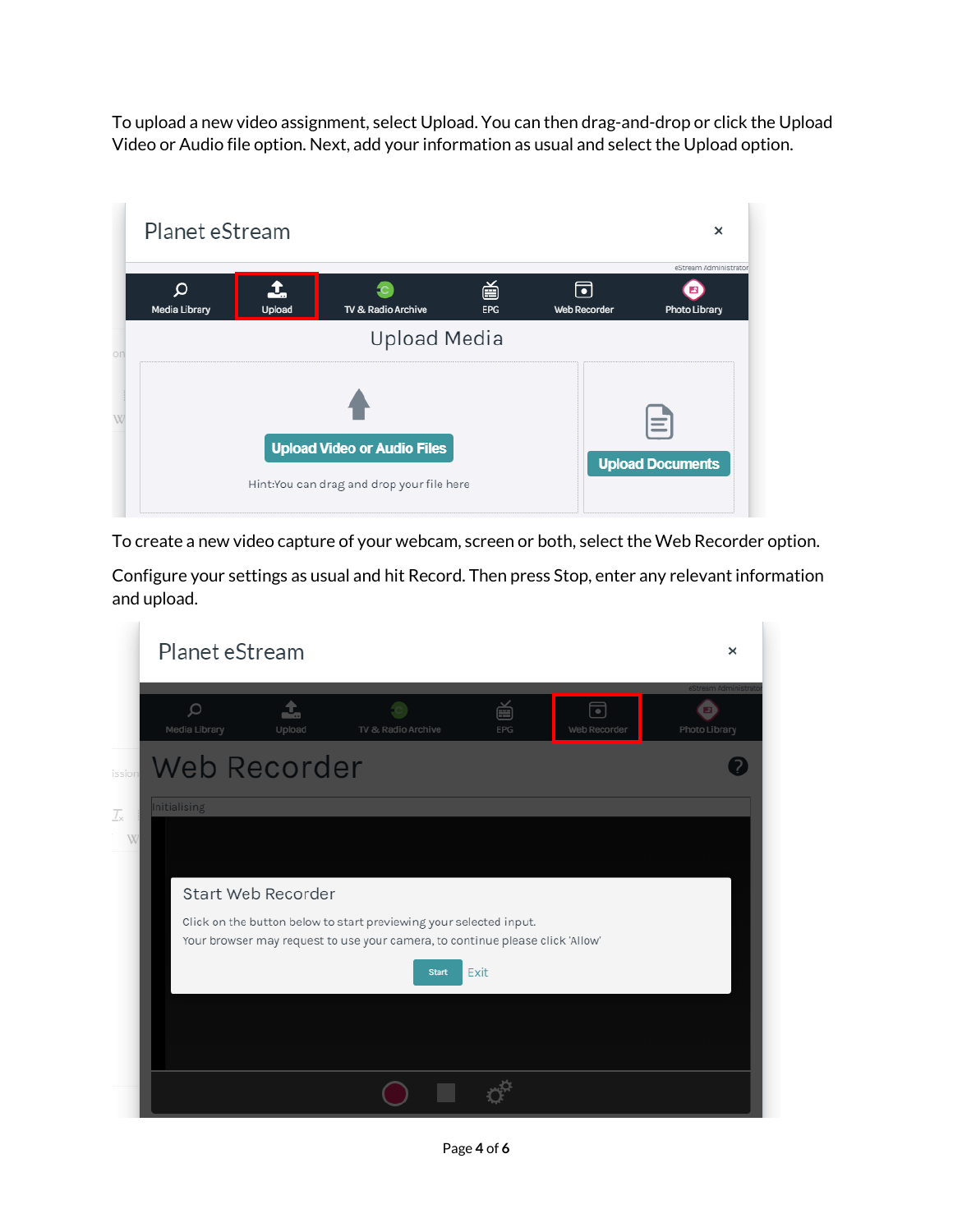To upload a new video assignment, select Upload. You can then drag-and-drop or click the Upload Video or Audio file option. Next, add your information as usual and select the Upload option.

|    | Planet eStream     |        |                                           |                 |                   | ×                       |
|----|--------------------|--------|-------------------------------------------|-----------------|-------------------|-------------------------|
|    |                    |        |                                           |                 |                   | eStream Administrator   |
|    | Ω<br>Media Library | Upload | TV & Radio Archive                        | 曽<br><b>EPG</b> | 同<br>Web Recorder | Photo Library           |
| on |                    |        | Upload Media                              |                 |                   |                         |
| W  |                    |        | <b>Upload Video or Audio Files</b>        |                 |                   | _                       |
|    |                    |        | Hint:You can drag and drop your file here |                 |                   | <b>Upload Documents</b> |

To create a new video capture of your webcam, screen or both, select the Web Recorder option.

Configure your settings as usual and hit Record. Then press Stop, enter any relevant information and upload.

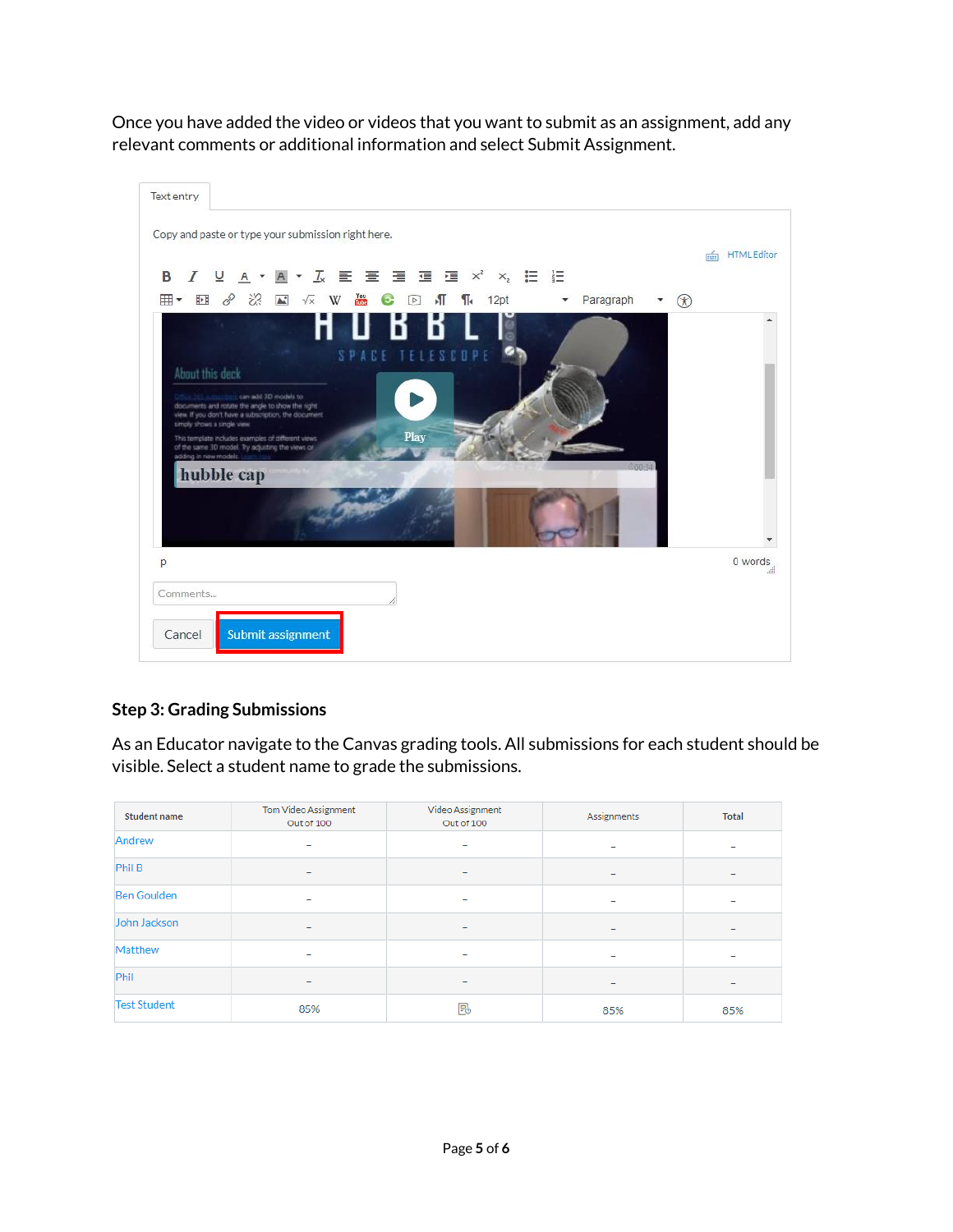Once you have added the video or videos that you want to submit as an assignment, add any relevant comments or additional information and select Submit Assignment.



## **Step 3: Grading Submissions**

As an Educator navigate to the Canvas grading tools. All submissions for each student should be visible. Select a student name to grade the submissions.

| Student name                 | Tom Video Assignment<br>Out of 100 | Video Assignment<br>Out of 100 | Assignments | <b>Total</b>             |
|------------------------------|------------------------------------|--------------------------------|-------------|--------------------------|
| Andrew                       |                                    |                                | -           | -                        |
| Phil B<br>-<br>-<br>-        |                                    |                                | -           |                          |
| <b>Ben Goulden</b><br>-<br>۰ |                                    | -                              |             |                          |
| John Jackson                 | -<br>-<br>-                        |                                |             | $\overline{\phantom{0}}$ |
| Matthew                      |                                    | -                              | -           |                          |
| Phil                         |                                    | -                              | -           | $\overline{\phantom{a}}$ |
| <b>Test Student</b>          | 85%                                | B                              | 85%         | 85%                      |